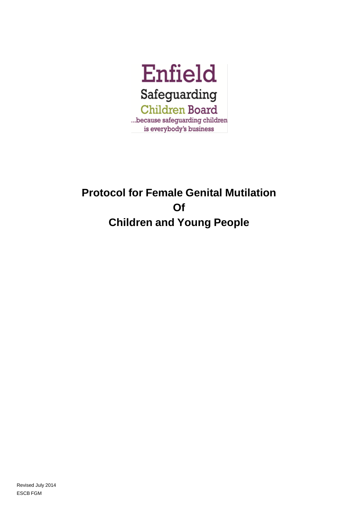

# **Protocol for Female Genital Mutilation Of Children and Young People**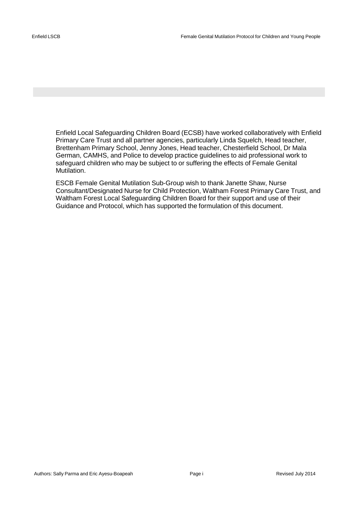Enfield Local Safeguarding Children Board (ECSB) have worked collaboratively with Enfield Primary Care Trust and all partner agencies, particularly Linda Squelch, Head teacher, Brettenham Primary School, Jenny Jones, Head teacher, Chesterfield School, Dr Mala German, CAMHS, and Police to develop practice guidelines to aid professional work to safeguard children who may be subject to or suffering the effects of Female Genital Mutilation.

ESCB Female Genital Mutilation Sub-Group wish to thank Janette Shaw, Nurse Consultant/Designated Nurse for Child Protection, Waltham Forest Primary Care Trust, and Waltham Forest Local Safeguarding Children Board for their support and use of their Guidance and Protocol, which has supported the formulation of this document.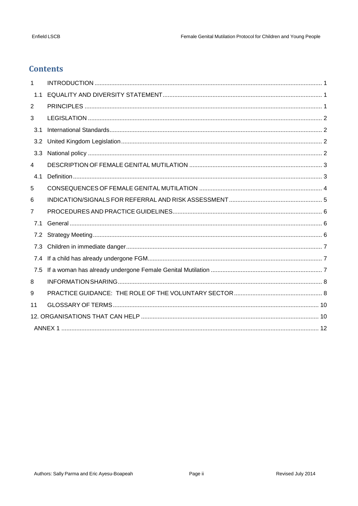# **Contents**

| 1              |  |  |  |
|----------------|--|--|--|
| 1.1            |  |  |  |
| $\overline{2}$ |  |  |  |
| 3              |  |  |  |
| 3.1            |  |  |  |
| 3.2            |  |  |  |
| 3.3            |  |  |  |
| 4              |  |  |  |
| 4.1            |  |  |  |
| 5              |  |  |  |
| 6              |  |  |  |
| 7              |  |  |  |
| 7.1            |  |  |  |
| 7.2            |  |  |  |
| 7.3            |  |  |  |
| 7.4            |  |  |  |
| 7.5            |  |  |  |
| 8              |  |  |  |
| 9              |  |  |  |
| 11             |  |  |  |
|                |  |  |  |
|                |  |  |  |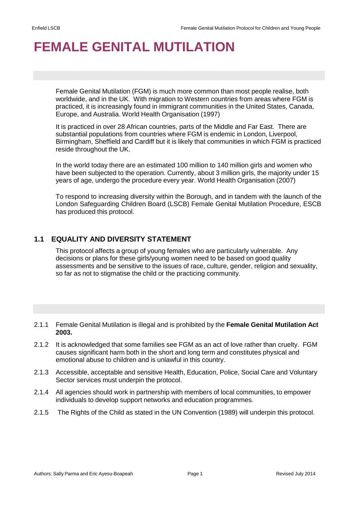# <span id="page-3-0"></span>**FEMALE GENITAL MUTILATION**

Female Genital Mutilation (FGM) is much more common than most people realise, both worldwide, and in the UK. With migration to Western countries from areas where FGM is practiced, it is increasingly found in immigrant communities in the United States, Canada, Europe, and Australia. World Health Organisation (1997)

It is practiced in over 28 African countries, parts of the Middle and Far East. There are substantial populations from countries where FGM is endemic in London, Liverpool, Birmingham, Sheffield and Cardiff but it is likely that communities in which FGM is practiced reside throughout the UK.

In the world today there are an estimated 100 million to 140 million girls and women who have been subjected to the operation. Currently, about 3 million girls, the majority under 15 years of age, undergo the procedure every year. World Health Organisation (2007)

To respond to increasing diversity within the Borough, and in tandem with the launch of the London Safeguarding Children Board (LSCB) Female Genital Mutilation Procedure, ESCB has produced this protocol.

# <span id="page-3-1"></span>**1.1 EQUALITY AND DIVERSITY STATEMENT**

This protocol affects a group of young females who are particularly vulnerable. Any decisions or plans for these girls/young women need to be based on good quality assessments and be sensitive to the issues of race, culture, gender, religion and sexuality, so far as not to stigmatise the child or the practicing community.

- <span id="page-3-2"></span>2.1.1 Female Genital Mutilation is illegal and is prohibited by the **Female Genital Mutilation Act 2003.**
- 2.1.2 It is acknowledged that some families see FGM as an act of love rather than cruelty. FGM causes significant harm both in the short and long term and constitutes physical and emotional abuse to children and is unlawful in this country.
- 2.1.3 Accessible, acceptable and sensitive Health, Education, Police, Social Care and Voluntary Sector services must underpin the protocol.
- 2.1.4 All agencies should work in partnership with members of local communities, to empower individuals to develop support networks and education programmes.
- 2.1.5 The Rights of the Child as stated in the UN Convention (1989) will underpin this protocol.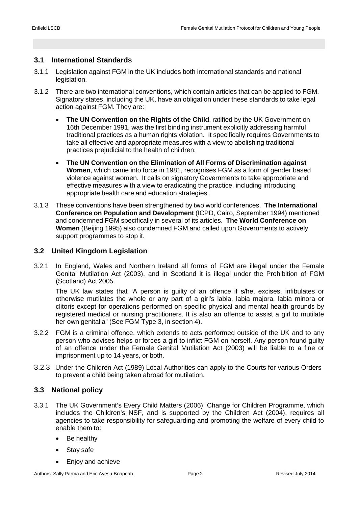# <span id="page-4-1"></span><span id="page-4-0"></span>**3.1 International Standards**

- 3.1.1 Legislation against FGM in the UK includes both international standards and national legislation.
- 3.1.2 There are two international conventions, which contain articles that can be applied to FGM. Signatory states, including the UK, have an obligation under these standards to take legal action against FGM. They are:
	- **The UN Convention on the Rights of the Child**, ratified by the UK Government on 16th December 1991, was the first binding instrument explicitly addressing harmful traditional practices as a human rights violation. It specifically requires Governments to take all effective and appropriate measures with a view to abolishing traditional practices prejudicial to the health of children.
	- **The UN Convention on the Elimination of All Forms of Discrimination against Women**, which came into force in 1981, recognises FGM as a form of gender based violence against women. It calls on signatory Governments to take appropriate and effective measures with a view to eradicating the practice, including introducing appropriate health care and education strategies.
- 3.1.3 These conventions have been strengthened by two world conferences. **The International Conference on Population and Development** (ICPD, Cairo, September 1994) mentioned and condemned FGM specifically in several of its articles. **The World Conference on Women** (Beijing 1995) also condemned FGM and called upon Governments to actively support programmes to stop it.

# <span id="page-4-2"></span>**3.2 United Kingdom Legislation**

3.2.1 In England, Wales and Northern Ireland all forms of FGM are illegal under the Female Genital Mutilation Act (2003), and in Scotland it is illegal under the Prohibition of FGM (Scotland) Act 2005.

The UK law states that "A person is guilty of an offence if s/he, excises, infibulates or otherwise mutilates the whole or any part of a girl's labia, labia majora, labia minora or clitoris except for operations performed on specific physical and mental health grounds by registered medical or nursing practitioners. It is also an offence to assist a girl to mutilate her own genitalia" (See FGM Type 3, in section 4).

- 3.2.2 FGM is a criminal offence, which extends to acts performed outside of the UK and to any person who advises helps or forces a girl to inflict FGM on herself. Any person found guilty of an offence under the Female Genital Mutilation Act (2003) will be liable to a fine or imprisonment up to 14 years, or both.
- 3.2.3. Under the Children Act (1989) Local Authorities can apply to the Courts for various Orders to prevent a child being taken abroad for mutilation.

# <span id="page-4-3"></span>**3.3 National policy**

- 3.3.1 The UK Government's Every Child Matters (2006): Change for Children Programme, which includes the Children's NSF, and is supported by the Children Act (2004), requires all agencies to take responsibility for safeguarding and promoting the welfare of every child to enable them to:
	- Be healthy
	- Stay safe
	- Enjoy and achieve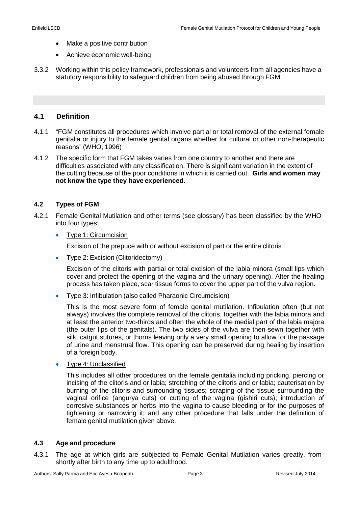- Make a positive contribution
- Achieve economic well-being
- 3.3.2 Working within this policy framework, professionals and volunteers from all agencies have a statutory responsibility to safeguard children from being abused through FGM.

#### <span id="page-5-1"></span><span id="page-5-0"></span>**4.1 Definition**

- 4.1.1 "FGM constitutes all procedures which involve partial or total removal of the external female genitalia or injury to the female genital organs whether for cultural or other non-therapeutic reasons" (WHO, 1996)
- 4.1.2 The specific form that FGM takes varies from one country to another and there are difficulties associated with any classification. There is significant variation in the extent of the cutting because of the poor conditions in which it is carried out. **Girls and women may not know the type they have experienced.**

#### **4.2 Types of FGM**

- 4.2.1 Female Genital Mutilation and other terms (see glossary) has been classified by the WHO into four types:
	- Type 1: Circumcision

Excision of the prepuce with or without excision of part or the entire clitoris

• Type 2: Excision (Clitoridectomy)

Excision of the clitoris with partial or total excision of the labia minora (small lips which cover and protect the opening of the vagina and the urinary opening). After the healing process has taken place, scar tissue forms to cover the upper part of the vulva region.

• Type 3: Infibulation (also called Pharaonic Circumcision)

This is the most severe form of female genital mutilation. Infibulation often (but not always) involves the complete removal of the clitoris, together with the labia minora and at least the anterior two-thirds and often the whole of the medial part of the labia majora (the outer lips of the genitals). The two sides of the vulva are then sewn together with silk, catgut sutures, or thorns leaving only a very small opening to allow for the passage of urine and menstrual flow. This opening can be preserved during healing by insertion of a foreign body.

• Type 4: Unclassified

This includes all other procedures on the female genitalia including pricking, piercing or incising of the clitoris and or labia; stretching of the clitoris and or labia; cauterisation by burning of the clitoris and surrounding tissues; scraping of the tissue surrounding the vaginal orifice (angurya cuts) or cutting of the vagina (gishiri cuts); introduction of corrosive substances or herbs into the vagina to cause bleeding or for the purposes of tightening or narrowing it; and any other procedure that falls under the definition of female genital mutilation given above.

#### **4.3 Age and procedure**

4.3.1 The age at which girls are subjected to Female Genital Mutilation varies greatly, from shortly after birth to any time up to adulthood.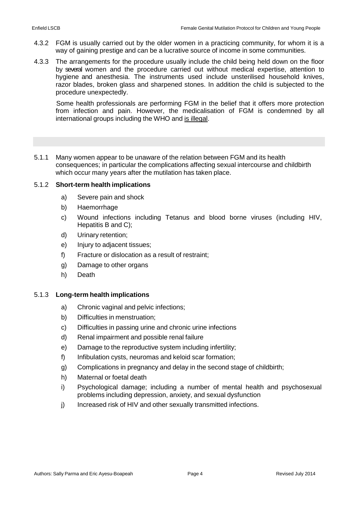- 4.3.2 FGM is usually carried out by the older women in a practicing community, for whom it is a way of gaining prestige and can be a lucrative source of income in some communities.
- 4.3.3 The arrangements for the procedure usually include the child being held down on the floor by several women and the procedure carried out without medical expertise, attention to hygiene and anesthesia. The instruments used include unsterilised household knives, razor blades, broken glass and sharpened stones. In addition the child is subjected to the procedure unexpectedly.

Some health professionals are performing FGM in the belief that it offers more protection from infection and pain. However, the medicalisation of FGM is condemned by all international groups including the WHO and is illegal.

<span id="page-6-0"></span>5.1.1 Many women appear to be unaware of the relation between FGM and its health consequences; in particular the complications affecting sexual intercourse and childbirth which occur many years after the mutilation has taken place.

#### 5.1.2 **Short-term health implications**

- a) Severe pain and shock
- b) Haemorrhage
- c) Wound infections including Tetanus and blood borne viruses (including HIV, Hepatitis B and C);
- d) Urinary retention;
- e) Injury to adjacent tissues;
- f) Fracture or dislocation as a result of restraint;
- g) Damage to other organs
- h) Death

#### 5.1.3 **Long-term health implications**

- a) Chronic vaginal and pelvic infections;
- b) Difficulties in menstruation;
- c) Difficulties in passing urine and chronic urine infections
- d) Renal impairment and possible renal failure
- e) Damage to the reproductive system including infertility;
- f) Infibulation cysts, neuromas and keloid scar formation;
- g) Complications in pregnancy and delay in the second stage of childbirth;
- h) Maternal or foetal death
- i) Psychological damage; including a number of mental health and psychosexual problems including depression, anxiety, and sexual dysfunction
- j) Increased risk of HIV and other sexually transmitted infections.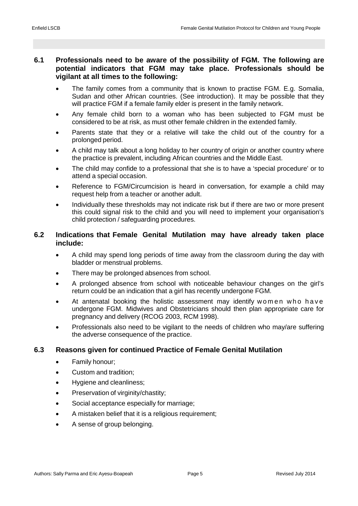# <span id="page-7-0"></span>**6.1 Professionals need to be aware of the possibility of FGM. The following are potential indicators that FGM may take place. Professionals should be vigilant at all times to the following:**

- The family comes from a community that is known to practise FGM. E.g. Somalia, Sudan and other African countries. (See introduction). It may be possible that they will practice FGM if a female family elder is present in the family network.
- Any female child born to a woman who has been subjected to FGM must be considered to be at risk, as must other female children in the extended family.
- Parents state that they or a relative will take the child out of the country for a prolonged period.
- A child may talk about a long holiday to her country of origin or another country where the practice is prevalent, including African countries and the Middle East.
- The child may confide to a professional that she is to have a 'special procedure' or to attend a special occasion.
- Reference to FGM/Circumcision is heard in conversation, for example a child may request help from a teacher or another adult.
- Individually these thresholds may not indicate risk but if there are two or more present this could signal risk to the child and you will need to implement your organisation's child protection / safeguarding procedures.

# **6.2 Indications that Female Genital Mutilation may have already taken place include:**

- A child may spend long periods of time away from the classroom during the day with bladder or menstrual problems.
- There may be prolonged absences from school.
- A prolonged absence from school with noticeable behaviour changes on the girl's return could be an indication that a girl has recently undergone FGM.
- At antenatal booking the holistic assessment may identify women who have undergone FGM. Midwives and Obstetricians should then plan appropriate care for pregnancy and delivery (RCOG 2003, RCM 1998).
- Professionals also need to be vigilant to the needs of children who may/are suffering the adverse consequence of the practice.

# **6.3 Reasons given for continued Practice of Female Genital Mutilation**

- Family honour;
- Custom and tradition;
- Hygiene and cleanliness;
- Preservation of virginity/chastity;
- Social acceptance especially for marriage;
- A mistaken belief that it is a religious requirement;
- A sense of group belonging.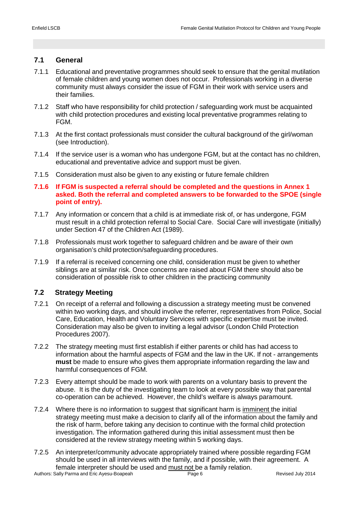# <span id="page-8-1"></span><span id="page-8-0"></span>**7.1 General**

- 7.1.1 Educational and preventative programmes should seek to ensure that the genital mutilation of female children and young women does not occur. Professionals working in a diverse community must always consider the issue of FGM in their work with service users and their families.
- 7.1.2 Staff who have responsibility for child protection / safeguarding work must be acquainted with child protection procedures and existing local preventative programmes relating to FGM.
- 7.1.3 At the first contact professionals must consider the cultural background of the girl/woman (see Introduction).
- 7.1.4 If the service user is a woman who has undergone FGM, but at the contact has no children, educational and preventative advice and support must be given.
- 7.1.5 Consideration must also be given to any existing or future female children
- **7.1.6 If FGM is suspected a referral should be completed and the questions in Annex 1 asked. Both the referral and completed answers to be forwarded to the SPOE (single point of entry).**
- 7.1.7 Any information or concern that a child is at immediate risk of, or has undergone, FGM must result in a child protection referral to Social Care. Social Care will investigate (initially) under Section 47 of the Children Act (1989).
- 7.1.8 Professionals must work together to safeguard children and be aware of their own organisation's child protection/safeguarding procedures.
- 7.1.9 If a referral is received concerning one child, consideration must be given to whether siblings are at similar risk. Once concerns are raised about FGM there should also be consideration of possible risk to other children in the practicing community

# <span id="page-8-2"></span>**7.2 Strategy Meeting**

- 7.2.1 On receipt of a referral and following a discussion a strategy meeting must be convened within two working days, and should involve the referrer, representatives from Police, Social Care, Education, Health and Voluntary Services with specific expertise must be invited. Consideration may also be given to inviting a legal advisor (London Child Protection Procedures 2007).
- 7.2.2 The strategy meeting must first establish if either parents or child has had access to information about the harmful aspects of FGM and the law in the UK. If not - arrangements **must** be made to ensure who gives them appropriate information regarding the law and harmful consequences of FGM.
- 7.2.3 Every attempt should be made to work with parents on a voluntary basis to prevent the abuse. It is the duty of the investigating team to look at every possible way that parental co-operation can be achieved. However, the child's welfare is always paramount.
- 7.2.4 Where there is no information to suggest that significant harm is *imminent* the initial strategy meeting must make a decision to clarify all of the information about the family and the risk of harm, before taking any decision to continue with the formal child protection investigation. The information gathered during this initial assessment must then be considered at the review strategy meeting within 5 working days.
- 7.2.5 An interpreter/community advocate appropriately trained where possible regarding FGM should be used in all interviews with the family, and if possible, with their agreement. A female interpreter should be used and must not be a family relation.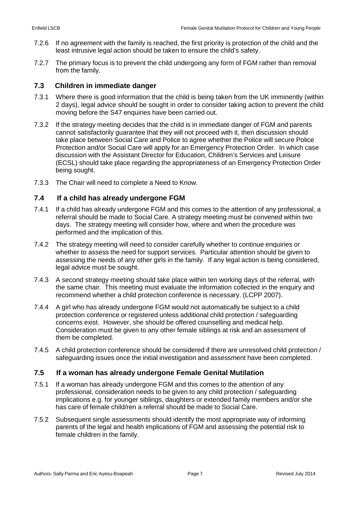- 7.2.6 If no agreement with the family is reached, the first priority is protection of the child and the least intrusive legal action should be taken to ensure the child's safety.
- 7.2.7 The primary focus is to prevent the child undergoing any form of FGM rather than removal from the family.

# <span id="page-9-0"></span>**7.3 Children in immediate danger**

- 7.3.1 Where there is good information that the child is being taken from the UK imminently (within 2 days), legal advice should be sought in order to consider taking action to prevent the child moving before the S47 enquiries have been carried out.
- 7.3.2 If the strategy meeting decides that the child is in immediate danger of FGM and parents cannot satisfactorily guarantee that they will not proceed with it, then discussion should take place between Social Care and Police to agree whether the Police will secure Police Protection and/or Social Care will apply for an Emergency Protection Order. In which case discussion with the Assistant Director for Education, Children's Services and Leisure (ECSL) should take place regarding the appropriateness of an Emergency Protection Order being sought.
- 7.3.3 The Chair will need to complete a Need to Know.

# <span id="page-9-1"></span>**7.4 If a child has already undergone FGM**

- 7.4.1 If a child has already undergone FGM and this comes to the attention of any professional, a referral should be made to Social Care. A strategy meeting must be convened within two days. The strategy meeting will consider how, where and when the procedure was performed and the implication of this.
- 7.4.2 The strategy meeting will need to consider carefully whether to continue enquiries or whether to assess the need for support services. Particular attention should be given to assessing the needs of any other girls in the family. If any legal action is being considered, legal advice must be sought.
- 7.4.3 A second strategy meeting should take place within ten working days of the referral, with the same chair. This meeting must evaluate the information collected in the enquiry and recommend whether a child protection conference is necessary. (LCPP 2007).
- 7.4.4 A girl who has already undergone FGM would not automatically be subject to a child protection conference or registered unless additional child protection / safeguarding concerns exist. However, she should be offered counselling and medical help. Consideration must be given to any other female siblings at risk and an assessment of them be completed.
- 7.4.5 A child protection conference should be considered if there are unresolved child protection / safeguarding issues once the initial investigation and assessment have been completed.

# <span id="page-9-2"></span>**7.5 If a woman has already undergone Female Genital Mutilation**

- 7.5.1 If a woman has already undergone FGM and this comes to the attention of any professional, consideration needs to be given to any child protection / safeguarding implications e.g. for younger siblings, daughters or extended family members and/or she has care of female child/ren a referral should be made to Social Care.
- 7.5.2 Subsequent single assessments should identify the most appropriate way of informing parents of the legal and health implications of FGM and assessing the potential risk to female children in the family.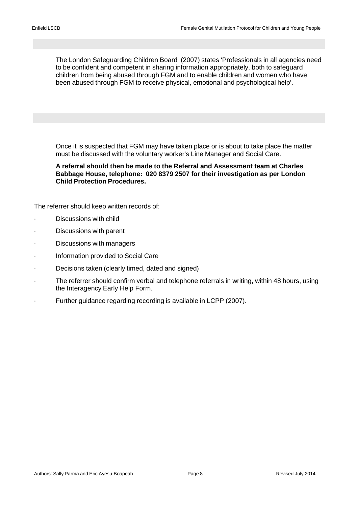<span id="page-10-0"></span>The London Safeguarding Children Board (2007) states 'Professionals in all agencies need to be confident and competent in sharing information appropriately, both to safeguard children from being abused through FGM and to enable children and women who have been abused through FGM to receive physical, emotional and psychological help'.

<span id="page-10-1"></span>Once it is suspected that FGM may have taken place or is about to take place the matter must be discussed with the voluntary worker's Line Manager and Social Care.

**A referral should then be made to the Referral and Assessment team at Charles Babbage House, telephone: 020 8379 2507 for their investigation as per London Child Protection Procedures.**

The referrer should keep written records of:

- Discussions with child
- Discussions with parent
- Discussions with managers
- · Information provided to Social Care
- · Decisions taken (clearly timed, dated and signed)
- · The referrer should confirm verbal and telephone referrals in writing, within 48 hours, using the Interagency Early Help Form.
- Further guidance regarding recording is available in LCPP (2007).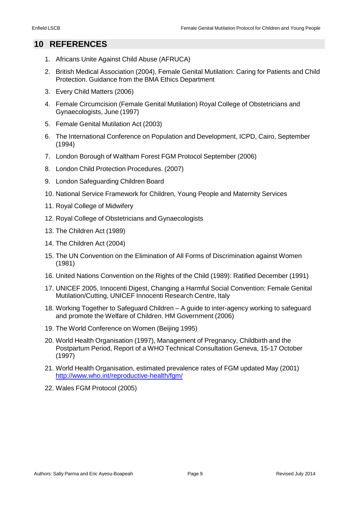# **10 REFERENCES**

- 1. Africans Unite Against Child Abuse (AFRUCA)
- 2. British Medical Association (2004), Female Genital Mutilation: Caring for Patients and Child Protection. Guidance from the BMA Ethics Department
- 3. Every Child Matters (2006)
- 4. Female Circumcision (Female Genital Mutilation) Royal College of Obstetricians and Gynaecologists, June (1997)
- 5. Female Genital Mutilation Act (2003)
- 6. The International Conference on Population and Development, ICPD, Cairo, September (1994)
- 7. London Borough of Waltham Forest FGM Protocol September (2006)
- 8. London Child Protection Procedures. (2007)
- 9. London Safeguarding Children Board
- 10. National Service Framework for Children, Young People and Maternity Services
- 11. Royal College of Midwifery
- 12. Royal College of Obstetricians and Gynaecologists
- 13. The Children Act (1989)
- 14. The Children Act (2004)
- 15. The UN Convention on the Elimination of All Forms of Discrimination against Women (1981)
- 16. United Nations Convention on the Rights of the Child (1989): Ratified December (1991)
- 17. UNICEF 2005, Innocenti Digest, Changing a Harmful Social Convention: Female Genital Mutilation/Cutting, UNICEF Innocenti Research Centre, Italy
- 18. Working Together to Safeguard Children A guide to inter-agency working to safeguard and promote the Welfare of Children. HM Government (2006)
- 19. The World Conference on Women (Beijing 1995)
- 20. World Health Organisation (1997), Management of Pregnancy, Childbirth and the Postpartum Period, Report of a WHO Technical Consultation Geneva, 15-17 October (1997)
- 21. World Health Organisation, estimated prevalence rates of FGM updated May (2001) <http://www.who.int/reproductive-health/fgm/>
- 22. Wales FGM Protocol (2005)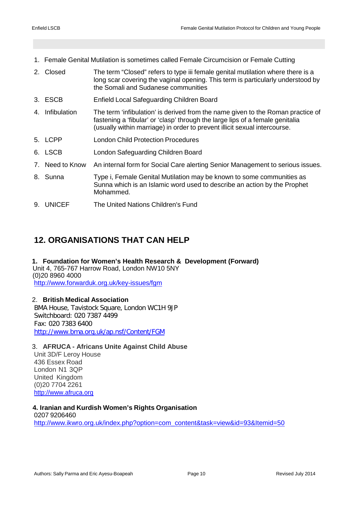- <span id="page-12-0"></span>1. Female Genital Mutilation is sometimes called Female Circumcision or Female Cutting
- 2. Closed The term "Closed" refers to type iii female genital mutilation where there is a long scar covering the vaginal opening. This term is particularly understood by the Somali and Sudanese communities
- 3. ESCB Enfield Local Safeguarding Children Board
- 4. Infibulation The term 'infibulation' is derived from the name given to the Roman practice of fastening a 'fibular' or 'clasp' through the large lips of a female genitalia (usually within marriage) in order to prevent illicit sexual intercourse.
- 5. LCPP London Child Protection Procedures
- 6. LSCB London Safeguarding Children Board
- 7. Need to Know An internal form for Social Care alerting Senior Management to serious issues.
- 8. Sunna Type i, Female Genital Mutilation may be known to some communities as Sunna which is an Islamic word used to describe an action by the Prophet Mohammed.
- 9. UNICEF The United Nations Children's Fund

# <span id="page-12-1"></span>**12. ORGANISATIONS THAT CAN HELP**

**1. Foundation for Women's Health Research & Development (Forward)** Unit 4, 765-767 Harrow Road, London NW10 5NY (0)20 8960 4000 <http://www.forwarduk.org.uk/key-issues/fgm>

2. **British Medical Association** BMA House, Tavistock Square, London WC1H 9JP Switchboard: 020 7387 4499 Fax: 020 7383 6400 <http://www.bma.org.uk/ap.nsf/Content/FGM>

#### 3. **AFRUCA - Africans Unite Against Child Abuse**

Unit 3D/F Leroy House 436 Essex Road London N1 3QP United Kingdom (0)20 7704 2261 [http://www.afruca.org](http://www.afruca.org/)

 **4. Iranian and Kurdish Women's Rights Organisation**

0207 9206460 [http://www.ikwro.org.uk/index.php?option=com\\_content&task=view&id=93&Itemid=50](http://www.ikwro.org.uk/index.php?option=com_content&task=view&id=93&Itemid=50)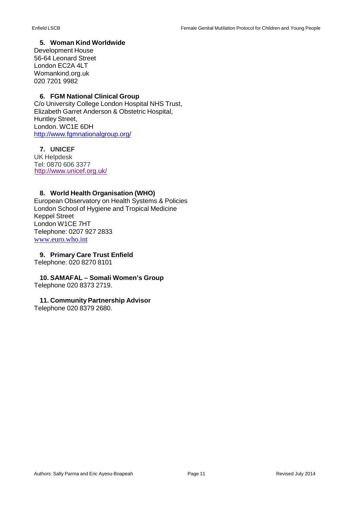#### **5. Woman Kind Worldwide**

Development House 56-64 Leonard Street London EC2A 4LT Womankind.org.uk 020 7201 9982

#### **6. FGM National Clinical Group**

C/o University College London Hospital NHS Trust, Elizabeth Garret Anderson & Obstetric Hospital, Huntley Street, London. WC1E 6DH <http://www.fgmnationalgroup.org/>

#### **7. UNICEF**

UK Helpdesk Tel: 0870 606 3377<http://www.unicef.org.uk/>

#### **8. World Health Organisation (WHO)**

European Observatory on Health Systems & Policies London School of Hygiene and Tropical Medicine Keppel Street London W1CE 7HT Telephone: 0207 927 2833 [www.euro.who.int](http://www.euro.who.int/)

**9. Primary Care Trust Enfield** Telephone: 020 8270 8101

**10. SAMAFAL – Somali Women's Group** Telephone 020 8373 2719.

#### **11. Community Partnership Advisor**

Telephone 020 8379 2680.